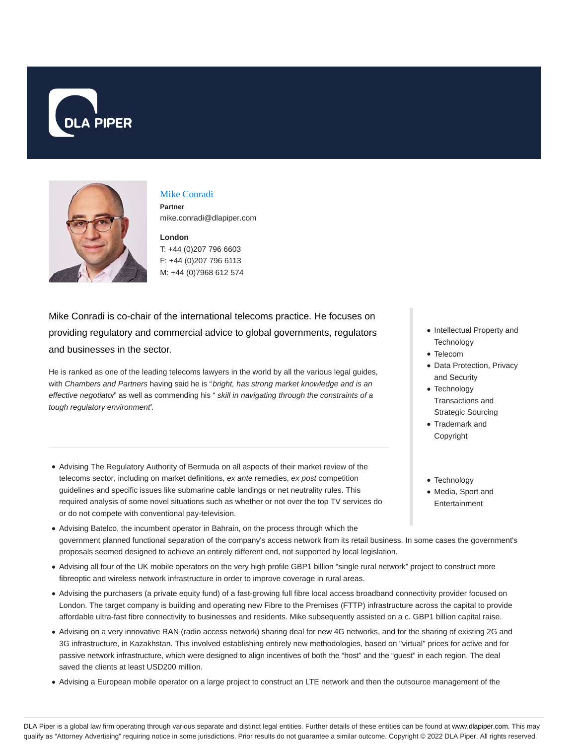



## Mike Conradi

**Partner** mike.conradi@dlapiper.com

# **London** T: +44 (0)207 796 6603 F: +44 (0)207 796 6113

M: +44 (0)7968 612 574

Mike Conradi is co-chair of the international telecoms practice. He focuses on providing regulatory and commercial advice to global governments, regulators and businesses in the sector.

He is ranked as one of the leading telecoms lawyers in the world by all the various legal guides, with Chambers and Partners having said he is "bright, has strong market knowledge and is an effective negotiator" as well as commending his " skill in navigating through the constraints of a tough regulatory environment".

- Advising The Regulatory Authority of Bermuda on all aspects of their market review of the telecoms sector, including on market definitions, ex ante remedies, ex post competition guidelines and specific issues like submarine cable landings or net neutrality rules. This required analysis of some novel situations such as whether or not over the top TV services do or do not compete with conventional pay-television.
- Advising Batelco, the incumbent operator in Bahrain, on the process through which the government planned functional separation of the company's access network from its retail business. In some cases the government's proposals seemed designed to achieve an entirely different end, not supported by local legislation.
- Advising all four of the UK mobile operators on the very high profile GBP1 billion "single rural network" project to construct more fibreoptic and wireless network infrastructure in order to improve coverage in rural areas.
- Advising the purchasers (a private equity fund) of a fast-growing full fibre local access broadband connectivity provider focused on London. The target company is building and operating new Fibre to the Premises (FTTP) infrastructure across the capital to provide affordable ultra-fast fibre connectivity to businesses and residents. Mike subsequently assisted on a c. GBP1 billion capital raise.
- Advising on a very innovative RAN (radio access network) sharing deal for new 4G networks, and for the sharing of existing 2G and 3G infrastructure, in Kazakhstan. This involved establishing entirely new methodologies, based on "virtual" prices for active and for passive network infrastructure, which were designed to align incentives of both the "host" and the "guest" in each region. The deal saved the clients at least USD200 million.
- Advising a European mobile operator on a large project to construct an LTE network and then the outsource management of the
- Intellectual Property and **Technology**
- Telecom
- Data Protection, Privacy and Security
- Technology Transactions and Strategic Sourcing
- Trademark and Copyright
- Technology
- Media, Sport and
- Entertainment

DLA Piper is a global law firm operating through various separate and distinct legal entities. Further details of these entities can be found at www.dlapiper.com. This may qualify as "Attorney Advertising" requiring notice in some jurisdictions. Prior results do not guarantee a similar outcome. Copyright @ 2022 DLA Piper. All rights reserved.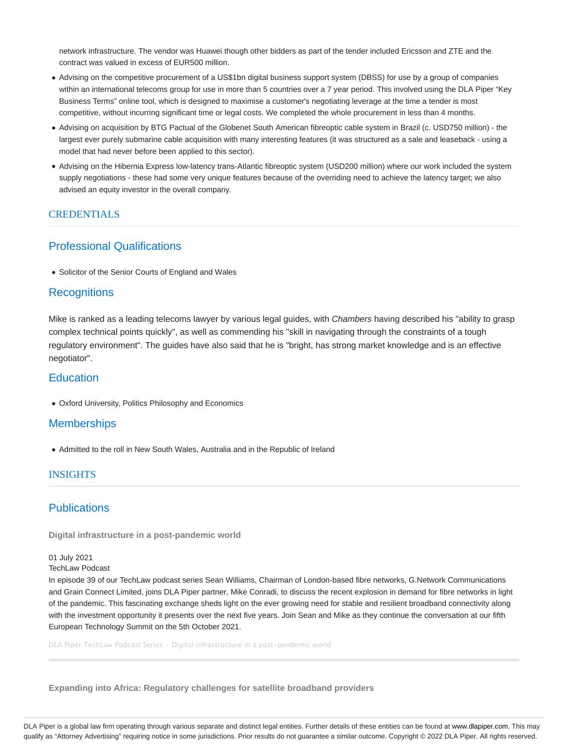network infrastructure. The vendor was Huawei though other bidders as part of the tender included Ericsson and ZTE and the contract was valued in excess of EUR500 million.

- Advising on the competitive procurement of a US\$1bn digital business support system (DBSS) for use by a group of companies within an international telecoms group for use in more than 5 countries over a 7 year period. This involved using the DLA Piper "Key Business Terms" online tool, which is designed to maximise a customer's negotiating leverage at the time a tender is most competitive, without incurring significant time or legal costs. We completed the whole procurement in less than 4 months.
- Advising on acquisition by BTG Pactual of the Globenet South American fibreoptic cable system in Brazil (c. USD750 million) the largest ever purely submarine cable acquisition with many interesting features (it was structured as a sale and leaseback - using a model that had never before been applied to this sector).
- Advising on the Hibernia Express low-latency trans-Atlantic fibreoptic system (USD200 million) where our work included the system supply negotiations - these had some very unique features because of the overriding need to achieve the latency target; we also advised an equity investor in the overall company.

### CREDENTIALS

### Professional Qualifications

Solicitor of the Senior Courts of England and Wales

## **Recognitions**

Mike is ranked as a leading telecoms lawyer by various legal guides, with Chambers having described his "ability to grasp complex technical points quickly", as well as commending his "skill in navigating through the constraints of a tough regulatory environment". The guides have also said that he is "bright, has strong market knowledge and is an effective negotiator".

## **Education**

Oxford University, Politics Philosophy and Economics

## **Memberships**

Admitted to the roll in New South Wales, Australia and in the Republic of Ireland

#### **INSIGHTS**

## **Publications**

**Digital infrastructure in a post-pandemic world**

01 July 2021

TechLaw Podcast

In episode 39 of our TechLaw podcast series Sean Williams, Chairman of London-based fibre networks, G.Network Communications and Grain Connect Limited, joins DLA Piper partner, Mike Conradi, to discuss the recent explosion in demand for fibre networks in light of the pandemic. This fascinating exchange sheds light on the ever growing need for stable and resilient broadband connectivity along with the investment opportunity it presents over the next five years. Join Sean and Mike as they continue the conversation at our fifth European Technology Summit on the 5th October 2021.

DLA Piper TechLaw Podcast Series · Digital infrastructure in a post-pandemic world

**Expanding into Africa: Regulatory challenges for satellite broadband providers**

DLA Piper is a global law firm operating through various separate and distinct legal entities. Further details of these entities can be found at www.dlapiper.com. This may qualify as "Attorney Advertising" requiring notice in some jurisdictions. Prior results do not guarantee a similar outcome. Copyright @ 2022 DLA Piper. All rights reserved.